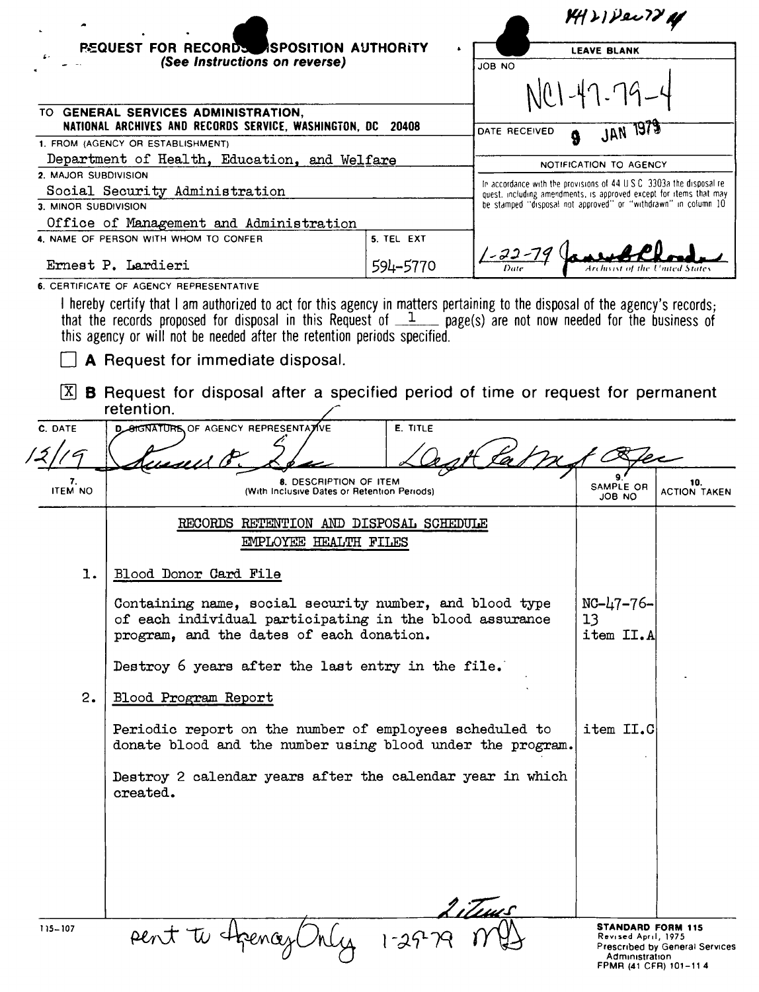| <b>REQUEST FOR RECORDS ASPOSITION AUTHORITY</b><br>(See Instructions on reverse)<br>TO GENERAL SERVICES ADMINISTRATION,<br>NATIONAL ARCHIVES AND RECORDS SERVICE, WASHINGTON, DC 20408<br>1. FROM (AGENCY OR ESTABLISHMENT)<br>Department of Health, Education, and Welfare<br>2. MAJOR SUBDIVISION<br>Social Security Administration<br>3. MINOR SUBDIVISION<br>Office of Management and Administration<br>4. NAME OF PERSON WITH WHOM TO CONFER<br>Ernest P. Lardieri<br>6. CERTIFICATE OF AGENCY REPRESENTATIVE<br>I hereby certify that I am authorized to act for this agency in matters pertaining to the disposal of the agency's records;<br>that the records proposed for disposal in this Request of $1$ page(s) are not now needed for the business of<br>this agency or will not be needed after the retention periods specified.<br>A Request for immediate disposal. | 5. TEL EXT<br>594-5770              | JOB NO<br>DATE RECEIVED<br>In accordance with the provisions of 44 U.S.C. 3303a the disposal re-<br>quest, including amendments, is approved except for items that may<br>be stamped "disposal not approved" or "withdrawn" in column 10 | <b>LEAVE BLANK</b><br>JAN 197<br>NOTIFICATION TO AGENCY<br>Archivist of the United State                                                                                                                                                                                           |                            |
|------------------------------------------------------------------------------------------------------------------------------------------------------------------------------------------------------------------------------------------------------------------------------------------------------------------------------------------------------------------------------------------------------------------------------------------------------------------------------------------------------------------------------------------------------------------------------------------------------------------------------------------------------------------------------------------------------------------------------------------------------------------------------------------------------------------------------------------------------------------------------------|-------------------------------------|------------------------------------------------------------------------------------------------------------------------------------------------------------------------------------------------------------------------------------------|------------------------------------------------------------------------------------------------------------------------------------------------------------------------------------------------------------------------------------------------------------------------------------|----------------------------|
|                                                                                                                                                                                                                                                                                                                                                                                                                                                                                                                                                                                                                                                                                                                                                                                                                                                                                    |                                     |                                                                                                                                                                                                                                          |                                                                                                                                                                                                                                                                                    |                            |
|                                                                                                                                                                                                                                                                                                                                                                                                                                                                                                                                                                                                                                                                                                                                                                                                                                                                                    |                                     |                                                                                                                                                                                                                                          |                                                                                                                                                                                                                                                                                    |                            |
|                                                                                                                                                                                                                                                                                                                                                                                                                                                                                                                                                                                                                                                                                                                                                                                                                                                                                    |                                     |                                                                                                                                                                                                                                          |                                                                                                                                                                                                                                                                                    |                            |
|                                                                                                                                                                                                                                                                                                                                                                                                                                                                                                                                                                                                                                                                                                                                                                                                                                                                                    |                                     |                                                                                                                                                                                                                                          |                                                                                                                                                                                                                                                                                    |                            |
|                                                                                                                                                                                                                                                                                                                                                                                                                                                                                                                                                                                                                                                                                                                                                                                                                                                                                    |                                     |                                                                                                                                                                                                                                          |                                                                                                                                                                                                                                                                                    |                            |
|                                                                                                                                                                                                                                                                                                                                                                                                                                                                                                                                                                                                                                                                                                                                                                                                                                                                                    |                                     |                                                                                                                                                                                                                                          |                                                                                                                                                                                                                                                                                    |                            |
|                                                                                                                                                                                                                                                                                                                                                                                                                                                                                                                                                                                                                                                                                                                                                                                                                                                                                    |                                     |                                                                                                                                                                                                                                          |                                                                                                                                                                                                                                                                                    |                            |
|                                                                                                                                                                                                                                                                                                                                                                                                                                                                                                                                                                                                                                                                                                                                                                                                                                                                                    |                                     |                                                                                                                                                                                                                                          |                                                                                                                                                                                                                                                                                    |                            |
|                                                                                                                                                                                                                                                                                                                                                                                                                                                                                                                                                                                                                                                                                                                                                                                                                                                                                    |                                     |                                                                                                                                                                                                                                          |                                                                                                                                                                                                                                                                                    |                            |
|                                                                                                                                                                                                                                                                                                                                                                                                                                                                                                                                                                                                                                                                                                                                                                                                                                                                                    |                                     |                                                                                                                                                                                                                                          |                                                                                                                                                                                                                                                                                    |                            |
|                                                                                                                                                                                                                                                                                                                                                                                                                                                                                                                                                                                                                                                                                                                                                                                                                                                                                    |                                     |                                                                                                                                                                                                                                          |                                                                                                                                                                                                                                                                                    |                            |
|                                                                                                                                                                                                                                                                                                                                                                                                                                                                                                                                                                                                                                                                                                                                                                                                                                                                                    |                                     |                                                                                                                                                                                                                                          |                                                                                                                                                                                                                                                                                    |                            |
|                                                                                                                                                                                                                                                                                                                                                                                                                                                                                                                                                                                                                                                                                                                                                                                                                                                                                    |                                     |                                                                                                                                                                                                                                          |                                                                                                                                                                                                                                                                                    |                            |
| <b>B</b> Request for disposal after a specified period of time or request for permanent                                                                                                                                                                                                                                                                                                                                                                                                                                                                                                                                                                                                                                                                                                                                                                                            |                                     |                                                                                                                                                                                                                                          |                                                                                                                                                                                                                                                                                    |                            |
|                                                                                                                                                                                                                                                                                                                                                                                                                                                                                                                                                                                                                                                                                                                                                                                                                                                                                    |                                     |                                                                                                                                                                                                                                          |                                                                                                                                                                                                                                                                                    |                            |
| <b>D_SIGNATURE OF AGENCY REPRESENTATIVE</b>                                                                                                                                                                                                                                                                                                                                                                                                                                                                                                                                                                                                                                                                                                                                                                                                                                        | <b>E. TITLE</b>                     |                                                                                                                                                                                                                                          |                                                                                                                                                                                                                                                                                    |                            |
|                                                                                                                                                                                                                                                                                                                                                                                                                                                                                                                                                                                                                                                                                                                                                                                                                                                                                    |                                     |                                                                                                                                                                                                                                          |                                                                                                                                                                                                                                                                                    |                            |
|                                                                                                                                                                                                                                                                                                                                                                                                                                                                                                                                                                                                                                                                                                                                                                                                                                                                                    |                                     |                                                                                                                                                                                                                                          |                                                                                                                                                                                                                                                                                    |                            |
|                                                                                                                                                                                                                                                                                                                                                                                                                                                                                                                                                                                                                                                                                                                                                                                                                                                                                    |                                     |                                                                                                                                                                                                                                          | SAMPLE OR<br>JOB NO                                                                                                                                                                                                                                                                | 10.<br><b>ACTION TAKEN</b> |
|                                                                                                                                                                                                                                                                                                                                                                                                                                                                                                                                                                                                                                                                                                                                                                                                                                                                                    |                                     |                                                                                                                                                                                                                                          |                                                                                                                                                                                                                                                                                    |                            |
|                                                                                                                                                                                                                                                                                                                                                                                                                                                                                                                                                                                                                                                                                                                                                                                                                                                                                    |                                     |                                                                                                                                                                                                                                          |                                                                                                                                                                                                                                                                                    |                            |
|                                                                                                                                                                                                                                                                                                                                                                                                                                                                                                                                                                                                                                                                                                                                                                                                                                                                                    |                                     |                                                                                                                                                                                                                                          |                                                                                                                                                                                                                                                                                    |                            |
|                                                                                                                                                                                                                                                                                                                                                                                                                                                                                                                                                                                                                                                                                                                                                                                                                                                                                    |                                     |                                                                                                                                                                                                                                          |                                                                                                                                                                                                                                                                                    |                            |
| Containing name, social security number, and blood type<br>of each individual participating in the blood assurance<br>program, and the dates of each donation.                                                                                                                                                                                                                                                                                                                                                                                                                                                                                                                                                                                                                                                                                                                     |                                     | $NC-47-76-$<br>13<br>item II.A                                                                                                                                                                                                           |                                                                                                                                                                                                                                                                                    |                            |
|                                                                                                                                                                                                                                                                                                                                                                                                                                                                                                                                                                                                                                                                                                                                                                                                                                                                                    |                                     |                                                                                                                                                                                                                                          |                                                                                                                                                                                                                                                                                    |                            |
|                                                                                                                                                                                                                                                                                                                                                                                                                                                                                                                                                                                                                                                                                                                                                                                                                                                                                    |                                     |                                                                                                                                                                                                                                          |                                                                                                                                                                                                                                                                                    |                            |
| Blood Program Report                                                                                                                                                                                                                                                                                                                                                                                                                                                                                                                                                                                                                                                                                                                                                                                                                                                               |                                     |                                                                                                                                                                                                                                          |                                                                                                                                                                                                                                                                                    |                            |
|                                                                                                                                                                                                                                                                                                                                                                                                                                                                                                                                                                                                                                                                                                                                                                                                                                                                                    |                                     |                                                                                                                                                                                                                                          |                                                                                                                                                                                                                                                                                    |                            |
| created.                                                                                                                                                                                                                                                                                                                                                                                                                                                                                                                                                                                                                                                                                                                                                                                                                                                                           |                                     |                                                                                                                                                                                                                                          |                                                                                                                                                                                                                                                                                    |                            |
|                                                                                                                                                                                                                                                                                                                                                                                                                                                                                                                                                                                                                                                                                                                                                                                                                                                                                    | retention.<br>Blood Donor Card File | 8. DESCRIPTION OF ITEM<br>(With Inclusive Dates or Retention Periods)<br>EMPLOYEE HEALTH FILES                                                                                                                                           | RECORDS RETENTION AND DISPOSAL SCHEDULE<br>Destroy 6 years after the last entry in the file.<br>Periodic report on the number of employees scheduled to<br>donate blood and the number using blood under the program.<br>Destroy 2 calendar years after the calendar year in which | item II.C                  |